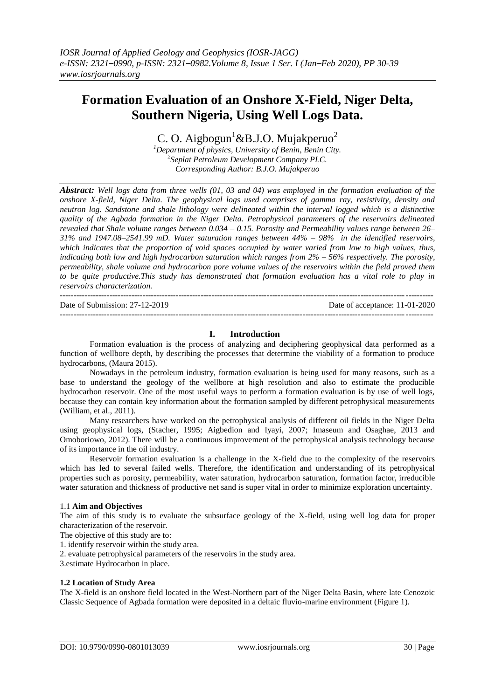# **Formation Evaluation of an Onshore X-Field, Niger Delta, Southern Nigeria, Using Well Logs Data.**

C. O. Aigbogun<sup>1</sup>&B.J.O. Mujakperuo<sup>2</sup>

*<sup>1</sup>Department of physics, University of Benin, Benin City. 2 Seplat Petroleum Development Company PLC. Corresponding Author: B.J.O. Mujakperuo*

*Abstract: Well logs data from three wells (01, 03 and 04) was employed in the formation evaluation of the onshore X-field, Niger Delta. The geophysical logs used comprises of gamma ray, resistivity, density and neutron log. Sandstone and shale lithology were delineated within the interval logged which is a distinctive quality of the Agbada formation in the Niger Delta. Petrophysical parameters of the reservoirs delineated revealed that Shale volume ranges between 0.034 – 0.15. Porosity and Permeability values range between 26– 31% and 1947.08–2541.99 mD. Water saturation ranges between 44% – 98% in the identified reservoirs, which indicates that the proportion of void spaces occupied by water varied from low to high values, thus, indicating both low and high hydrocarbon saturation which ranges from 2% – 56% respectively. The porosity, permeability, shale volume and hydrocarbon pore volume values of the reservoirs within the field proved them to be quite productive.This study has demonstrated that formation evaluation has a vital role to play in reservoirs characterization.* 

--------------------------------------------------------------------------------------------------------------------------------------- Date of Submission: 27-12-2019 Date of acceptance: 11-01-2020 --------------------------------------------------------------------------------------------------------------------------------------*-*

## **I. Introduction**

Formation evaluation is the process of analyzing and deciphering geophysical data performed as a function of wellbore depth, by describing the processes that determine the viability of a formation to produce hydrocarbons, (Maura 2015).

Nowadays in the petroleum industry, formation evaluation is being used for many reasons, such as a base to understand the geology of the wellbore at high resolution and also to estimate the producible hydrocarbon reservoir. One of the most useful ways to perform a formation evaluation is by use of well logs, because they can contain key information about the formation sampled by different petrophysical measurements (William, et al., 2011).

Many researchers have worked on the petrophysical analysis of different oil fields in the Niger Delta using geophysical logs, (Stacher, 1995; Aigbedion and Iyayi, 2007; Imaseum and Osaghae, 2013 and Omoboriowo, 2012). There will be a continuous improvement of the petrophysical analysis technology because of its importance in the oil industry.

Reservoir formation evaluation is a challenge in the X-field due to the complexity of the reservoirs which has led to several failed wells. Therefore, the identification and understanding of its petrophysical properties such as porosity, permeability, water saturation, hydrocarbon saturation, formation factor, irreducible water saturation and thickness of productive net sand is super vital in order to minimize exploration uncertainty.

#### 1.1 **Aim and Objectives**

The aim of this study is to evaluate the subsurface geology of the X-field, using well log data for proper characterization of the reservoir.

The objective of this study are to:

1. identify reservoir within the study area.

2. evaluate petrophysical parameters of the reservoirs in the study area.

3.estimate Hydrocarbon in place.

#### **1.2 Location of Study Area**

The X-field is an onshore field located in the West-Northern part of the Niger Delta Basin, where late Cenozoic Classic Sequence of Agbada formation were deposited in a deltaic fluvio-marine environment (Figure 1).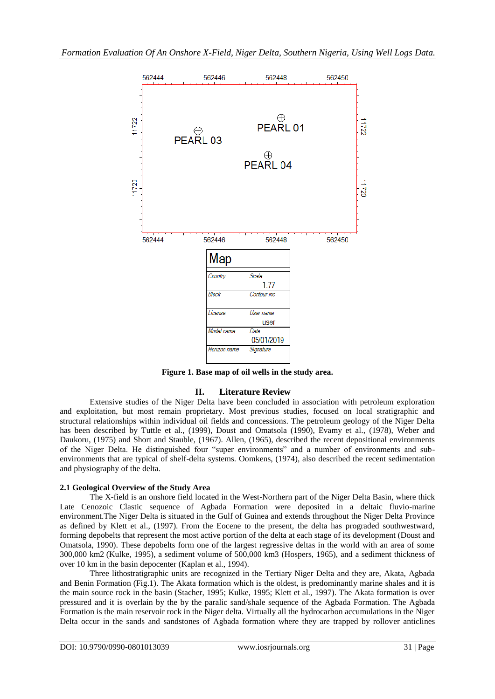

**Figure 1. Base map of oil wells in the study area.**

# **II. Literature Review**

Extensive studies of the Niger Delta have been concluded in association with petroleum exploration and exploitation, but most remain proprietary. Most previous studies, focused on local stratigraphic and structural relationships within individual oil fields and concessions. The petroleum geology of the Niger Delta has been described by Tuttle et al., (1999), Doust and Omatsola (1990), Evamy et al., (1978), Weber and Daukoru, (1975) and Short and Stauble, (1967). Allen, (1965), described the recent depositional environments of the Niger Delta. He distinguished four "super environments" and a number of environments and subenvironments that are typical of shelf-delta systems. Oomkens, (1974), also described the recent sedimentation and physiography of the delta.

## **2.1 Geological Overview of the Study Area**

The X-field is an onshore field located in the West-Northern part of the Niger Delta Basin, where thick Late Cenozoic Clastic sequence of Agbada Formation were deposited in a deltaic fluvio-marine environment.The Niger Delta is situated in the Gulf of Guinea and extends throughout the Niger Delta Province as defined by Klett et al., (1997). From the Eocene to the present, the delta has prograded southwestward, forming depobelts that represent the most active portion of the delta at each stage of its development (Doust and Omatsola, 1990). These depobelts form one of the largest regressive deltas in the world with an area of some 300,000 km2 (Kulke, 1995), a sediment volume of 500,000 km3 (Hospers, 1965), and a sediment thickness of over 10 km in the basin depocenter (Kaplan et al., 1994).

Three lithostratigraphic units are recognized in the Tertiary Niger Delta and they are, Akata, Agbada and Benin Formation (Fig.1). The Akata formation which is the oldest, is predominantly marine shales and it is the main source rock in the basin (Stacher, 1995; Kulke, 1995; Klett et al., 1997). The Akata formation is over pressured and it is overlain by the by the paralic sand/shale sequence of the Agbada Formation. The Agbada Formation is the main reservoir rock in the Niger delta. Virtually all the hydrocarbon accumulations in the Niger Delta occur in the sands and sandstones of Agbada formation where they are trapped by rollover anticlines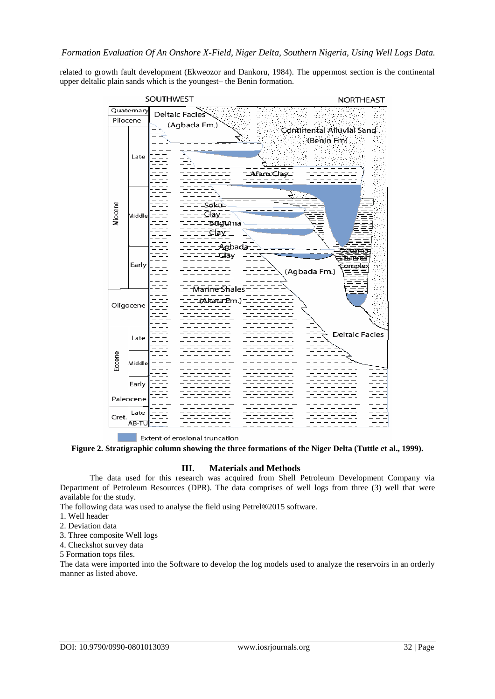related to growth fault development (Ekweozor and Dankoru, 1984). The uppermost section is the continental upper deltalic plain sands which is the youngest– the Benin formation.



Extent of erosional truncation

**Figure 2. Stratigraphic column showing the three formations of the Niger Delta (Tuttle et al., 1999).**

## **III. Materials and Methods**

The data used for this research was acquired from Shell Petroleum Development Company via Department of Petroleum Resources (DPR). The data comprises of well logs from three (3) well that were available for the study.

The following data was used to analyse the field using Petrel®2015 software.

- 1. Well header
- 2. Deviation data
- 3. Three composite Well logs
- 4. Checkshot survey data

5 Formation tops files.

The data were imported into the Software to develop the log models used to analyze the reservoirs in an orderly manner as listed above.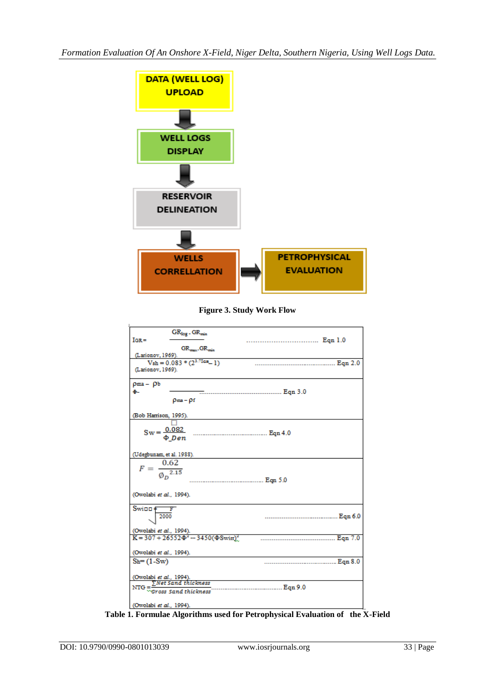

**Figure 3. Study Work Flow**

| $GR_{log}$ - $GR_{min}$<br>$IGR =$                          | Eqn 1.0 |
|-------------------------------------------------------------|---------|
| GR_____GR____<br>(Larionov, 1969).                          |         |
| $Vsh = 0.083 * (2^{3.71GR} - 1)$                            |         |
| (Larionov, 1969).                                           |         |
| $\rho$ ma – $\rho$ b                                        |         |
| ф.,                                                         |         |
| $\rho_{\text{max}} - \rho_f$                                |         |
| (Bob Harrison, 1995).                                       |         |
|                                                             |         |
|                                                             |         |
|                                                             |         |
|                                                             |         |
| (Udegbunam, et al. 1988).                                   |         |
| $F = \frac{0.62}{\phi_p^{2.15}}$                            |         |
|                                                             |         |
|                                                             |         |
|                                                             |         |
| (Owolabi et al., 1994).                                     |         |
| $Swi$ <sub><math>F</math></sub> $F$                         |         |
| 2000                                                        |         |
|                                                             |         |
| (Owolabi et al., 1994).                                     |         |
| $K = 307 + 26552 \Phi^{2} - 3450 (\Phi \text{Swin})^{2}$    |         |
|                                                             |         |
| (Owolabi et al., 1994).                                     |         |
| $Sh = (1-Sw)$                                               |         |
|                                                             |         |
| (Owolabi et al., 1994).<br>____ $\Sigma$ Net Sand thickness |         |
| Eqn 9.0                                                     |         |
| NTG $=\frac{2}{\sqrt{G} \cdot \cos s}$ sand thickness       |         |
| (Owolabi et al., 1994).                                     |         |
|                                                             |         |

**Table 1. Formulae Algorithms used for Petrophysical Evaluation of the X-Field**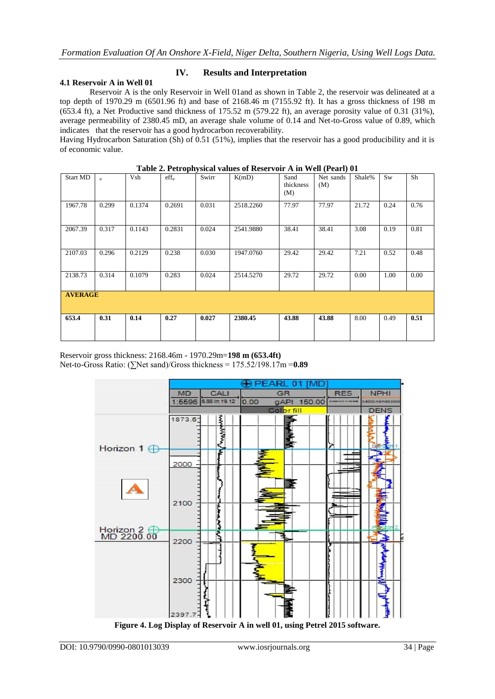#### **4.1 Reservoir A in Well 01**

## **IV. Results and Interpretation**

Reservoir A is the only Reservoir in Well 01and as shown in Table 2, the reservoir was delineated at a top depth of 1970.29 m (6501.96 ft) and base of 2168.46 m (7155.92 ft). It has a gross thickness of 198 m (653.4 ft), a Net Productive sand thickness of 175.52 m (579.22 ft), an average porosity value of 0.31 (31%), average permeability of 2380.45 mD, an average shale volume of 0.14 and Net-to-Gross value of 0.89, which indicates that the reservoir has a good hydrocarbon recoverability.

Having Hydrocarbon Saturation (Sh) of 0.51 (51%), implies that the reservoir has a good producibility and it is of economic value.

|                 | Table 2. I ch ophysical values of Reservoir A in Well (I carry 01) |        |                         |       |           |                          |                  |        |      |      |  |  |
|-----------------|--------------------------------------------------------------------|--------|-------------------------|-------|-----------|--------------------------|------------------|--------|------|------|--|--|
| <b>Start MD</b> | $\omega$                                                           | Vsh    | $\mathrm{eff}_{\omega}$ | Swirr | K(mD)     | Sand<br>thickness<br>(M) | Net sands<br>(M) | Shale% | Sw   | Sh   |  |  |
| 1967.78         | 0.299                                                              | 0.1374 | 0.2691                  | 0.031 | 2518.2260 | 77.97                    | 77.97            | 21.72  | 0.24 | 0.76 |  |  |
| 2067.39         | 0.317                                                              | 0.1143 | 0.2831                  | 0.024 | 2541.9880 | 38.41                    | 38.41            | 3.08   | 0.19 | 0.81 |  |  |
| 2107.03         | 0.296                                                              | 0.2129 | 0.238                   | 0.030 | 1947.0760 | 29.42                    | 29.42            | 7.21   | 0.52 | 0.48 |  |  |
| 2138.73         | 0.314                                                              | 0.1079 | 0.283                   | 0.024 | 2514.5270 | 29.72                    | 29.72            | 0.00   | 1.00 | 0.00 |  |  |
| <b>AVERAGE</b>  |                                                                    |        |                         |       |           |                          |                  |        |      |      |  |  |
| 653.4           | 0.31                                                               | 0.14   | 0.27                    | 0.027 | 2380.45   | 43.88                    | 43.88            | 8.00   | 0.49 | 0.51 |  |  |

**Table 2. Petrophysical values of Reservoir A in Well (Pearl) 01**

Reservoir gross thickness: 2168.46m - 1970.29m=**198 m (653.4ft)** Net-to-Gross Ratio: (∑Net sand)/Gross thickness = 175.52/198.17m =**0.89**



**Figure 4. Log Display of Reservoir A in well 01, using Petrel 2015 software.**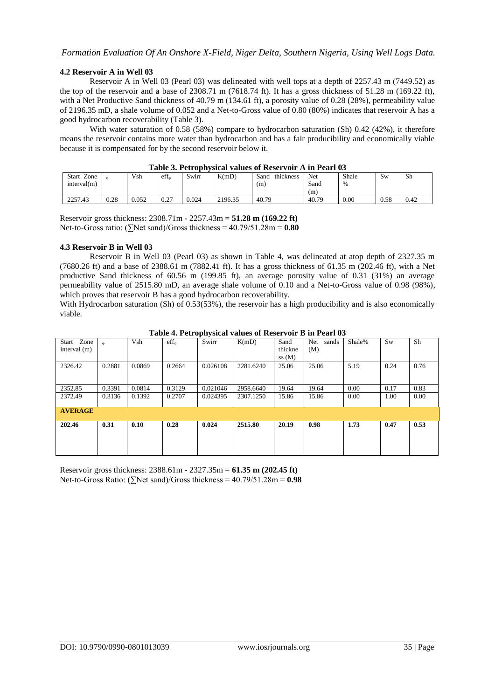#### **4.2 Reservoir A in Well 03**

Reservoir A in Well 03 (Pearl 03) was delineated with well tops at a depth of 2257.43 m (7449.52) as the top of the reservoir and a base of 2308.71 m (7618.74 ft). It has a gross thickness of  $51.28$  m (169.22 ft), with a Net Productive Sand thickness of 40.79 m (134.61 ft), a porosity value of 0.28 (28%), permeability value of 2196.35 mD, a shale volume of 0.052 and a Net-to-Gross value of 0.80 (80%) indicates that reservoir A has a good hydrocarbon recoverability (Table 3).

With water saturation of 0.58 (58%) compare to hydrocarbon saturation (Sh) 0.42 (42%), it therefore means the reservoir contains more water than hydrocarbon and has a fair producibility and economically viable because it is compensated for by the second reservoir below it.

| THUNK OF T OUT ON HIS BLOWE THEM OF THOUGHT ONE THE TERM THAT THE T |      |       |                         |       |         |                   |       |       |           |      |  |  |
|---------------------------------------------------------------------|------|-------|-------------------------|-------|---------|-------------------|-------|-------|-----------|------|--|--|
| Start Zone                                                          |      | Vsh   | $\mathrm{eff}_{\alpha}$ | Swirr | K(mD)   | thickness<br>Sand | Net   | Shale | <b>Sw</b> | Sh   |  |  |
| interval(m)                                                         |      |       |                         |       |         | (m)               | Sand  | $\%$  |           |      |  |  |
|                                                                     |      |       |                         |       |         |                   | (m)   |       |           |      |  |  |
| 2257.43                                                             | 0.28 | 0.052 | 0.27                    | 0.024 | 2196.35 | 40.79             | 40.79 | 0.00  | 0.58      | 0.42 |  |  |

#### **Table 3. Petrophysical values of Reservoir A in Pearl 03**

Reservoir gross thickness: 2308.71m - 2257.43m = **51.28 m (169.22 ft)** Net-to-Gross ratio:  $(\Sigma)$ Net sand)/Gross thickness = 40.79/51.28m =  $0.80$ 

#### **4.3 Reservoir B in Well 03**

Reservoir B in Well 03 (Pearl 03) as shown in Table 4, was delineated at atop depth of 2327.35 m (7680.26 ft) and a base of 2388.61 m (7882.41 ft). It has a gross thickness of 61.35 m (202.46 ft), with a Net productive Sand thickness of 60.56 m (199.85 ft), an average porosity value of 0.31 (31%) an average permeability value of 2515.80 mD, an average shale volume of 0.10 and a Net-to-Gross value of 0.98 (98%), which proves that reservoir B has a good hydrocarbon recoverability.

With Hydrocarbon saturation (Sh) of 0.53(53%), the reservoir has a high producibility and is also economically viable.

|                |         |        |                             |          | TWORE IT THE OPEN JOINED THROUGH THE DELIVERED OF |         |              |        |      |      |
|----------------|---------|--------|-----------------------------|----------|---------------------------------------------------|---------|--------------|--------|------|------|
| Start Zone     | $\circ$ | Vsh    | $\mathrm{eff}_{\mathrm{m}}$ | Swirr    | K(mD)                                             | Sand    | Net<br>sands | Shale% | Sw   | Sh   |
| interval $(m)$ |         |        |                             |          |                                                   | thickne | (M)          |        |      |      |
|                |         |        |                             |          |                                                   | ss(M)   |              |        |      |      |
| 2326.42        | 0.2881  | 0.0869 | 0.2664                      | 0.026108 | 2281.6240                                         | 25.06   | 25.06        | 5.19   | 0.24 | 0.76 |
|                |         |        |                             |          |                                                   |         |              |        |      |      |
|                |         |        |                             |          |                                                   |         |              |        |      |      |
| 2352.85        | 0.3391  | 0.0814 | 0.3129                      | 0.021046 | 2958.6640                                         | 19.64   | 19.64        | 0.00   | 0.17 | 0.83 |
| 2372.49        | 0.3136  | 0.1392 | 0.2707                      | 0.024395 | 2307.1250                                         | 15.86   | 15.86        | 0.00   | 1.00 | 0.00 |
|                |         |        |                             |          |                                                   |         |              |        |      |      |
| <b>AVERAGE</b> |         |        |                             |          |                                                   |         |              |        |      |      |
|                |         |        |                             |          |                                                   |         |              |        |      |      |
| 202.46         | 0.31    | 0.10   | 0.28                        | 0.024    | 2515.80                                           | 20.19   | 0.98         | 1.73   | 0.47 | 0.53 |
|                |         |        |                             |          |                                                   |         |              |        |      |      |
|                |         |        |                             |          |                                                   |         |              |        |      |      |
|                |         |        |                             |          |                                                   |         |              |        |      |      |
|                |         |        |                             |          |                                                   |         |              |        |      |      |

**Table 4. Petrophysical values of Reservoir B in Pearl 03**

Reservoir gross thickness: 2388.61m - 2327.35m = **61.35 m (202.45 ft)** Net-to-Gross Ratio: (∑Net sand)/Gross thickness = 40.79/51.28m = **0.98**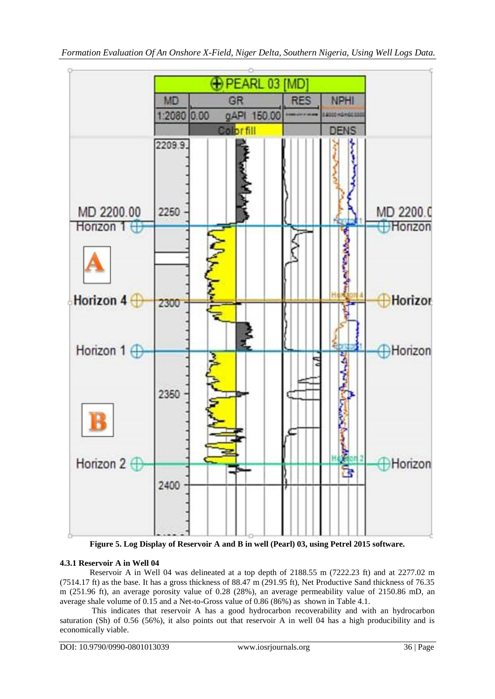

**Figure 5. Log Display of Reservoir A and B in well (Pearl) 03, using Petrel 2015 software.**

## **4.3.1 Reservoir A in Well 04**

Reservoir A in Well 04 was delineated at a top depth of 2188.55 m (7222.23 ft) and at 2277.02 m (7514.17 ft) as the base. It has a gross thickness of 88.47 m (291.95 ft), Net Productive Sand thickness of 76.35 m (251.96 ft), an average porosity value of 0.28 (28%), an average permeability value of 2150.86 mD, an average shale volume of 0.15 and a Net-to-Gross value of 0.86 (86%) as shown in Table 4.1.

This indicates that reservoir A has a good hydrocarbon recoverability and with an hydrocarbon saturation (Sh) of 0.56 (56%), it also points out that reservoir A in well 04 has a high producibility and is economically viable.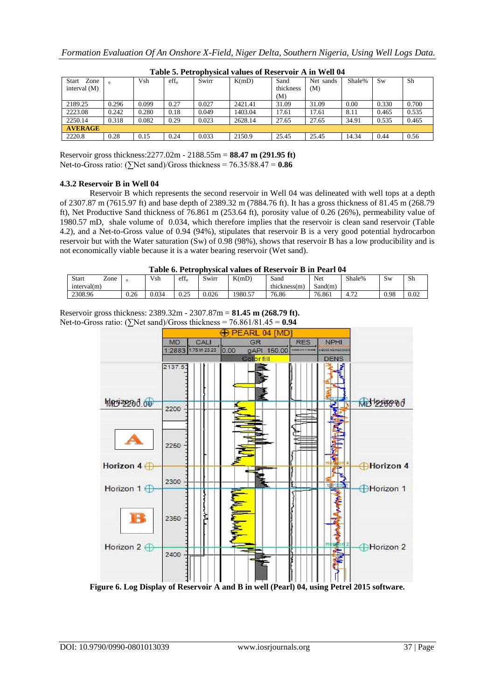| Table of Tell ophysical values of Iresel voll 11 m well of |       |       |                        |       |         |           |           |        |           |       |
|------------------------------------------------------------|-------|-------|------------------------|-------|---------|-----------|-----------|--------|-----------|-------|
| Start<br>Zone                                              |       | Vsh   | $\mathrm{eff}_{\circ}$ | Swirr | K(mD)   | Sand      | Net sands | Shale% | <b>Sw</b> | Sh    |
| interval $(M)$                                             |       |       |                        |       |         | thickness | (M)       |        |           |       |
|                                                            |       |       |                        |       |         | (M)       |           |        |           |       |
| 2189.25                                                    | 0.296 | 0.099 | 0.27                   | 0.027 | 2421.41 | 31.09     | 31.09     | 0.00   | 0.330     | 0.700 |
| 2223.08                                                    | 0.242 | 0.280 | 0.18                   | 0.049 | 1403.04 | 17.61     | 17.61     | 8.11   | 0.465     | 0.535 |
| 2250.14                                                    | 0.318 | 0.082 | 0.29                   | 0.023 | 2628.14 | 27.65     | 27.65     | 34.91  | 0.535     | 0.465 |
| <b>AVERAGE</b>                                             |       |       |                        |       |         |           |           |        |           |       |
| 2220.8                                                     | 0.28  | 0.15  | 0.24                   | 0.033 | 2150.9  | 25.45     | 25.45     | 14.34  | 0.44      | 0.56  |

**Table 5. Petrophysical values of Reservoir A in Well 04**

Reservoir gross thickness:2277.02m - 2188.55m = **88.47 m (291.95 ft)** Net-to-Gross ratio: ( $\sum$ Net sand)/Gross thickness = 76.35/88.47 = **0.86** 

## **4.3.2 Reservoir B in Well 04**

Reservoir B which represents the second reservoir in Well 04 was delineated with well tops at a depth of 2307.87 m (7615.97 ft) and base depth of 2389.32 m (7884.76 ft). It has a gross thickness of 81.45 m (268.79 ft), Net Productive Sand thickness of 76.861 m (253.64 ft), porosity value of 0.26 (26%), permeability value of 1980.57 mD, shale volume of 0.034, which therefore implies that the reservoir is clean sand reservoir (Table 4.2), and a Net-to-Gross value of 0.94 (94%), stipulates that reservoir B is a very good potential hydrocarbon reservoir but with the Water saturation (Sw) of 0.98 (98%), shows that reservoir B has a low producibility and is not economically viable because it is a water bearing reservoir (Wet sand).

| $\overline{ }$<br>Start<br>Zone |      | Vsh   | $\mathrm{eff}_{\omega}$ | SWIIT | K(mD)   | Sand         | Net     | Shale%               | $\sim$<br>Sw | Sh       |
|---------------------------------|------|-------|-------------------------|-------|---------|--------------|---------|----------------------|--------------|----------|
| interval(m)                     |      |       |                         |       |         | thickness(m) | Sand(m) |                      |              |          |
| 2308.96                         | 0.26 | J.034 | ሰ ጎዳ<br>∪.∠J            | 0.026 | 1980.57 | 76.86        | 76.861  | $\mathbf{a}$<br>4.12 | 0.98         | $0.02\,$ |

Reservoir gross thickness: 2389.32m - 2307.87m = **81.45 m (268.79 ft).** Net-to-Gross ratio: ( $\sum$ Net sand)/Gross thickness = 76.861/81.45 = **0.94** 



**Figure 6. Log Display of Reservoir A and B in well (Pearl) 04, using Petrel 2015 software.**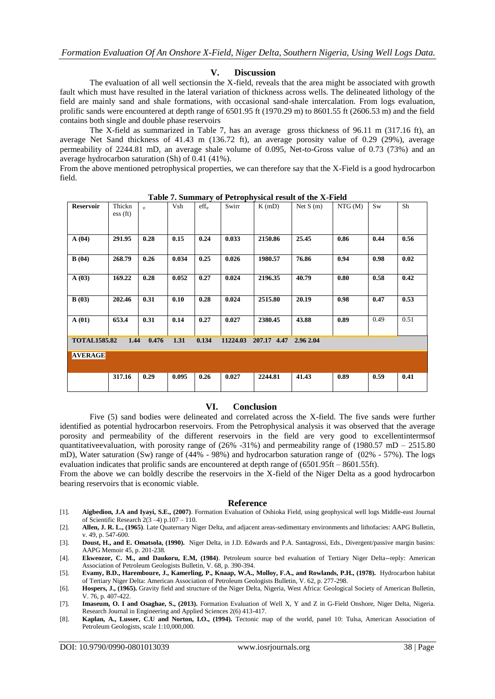#### **V. Discussion**

The evaluation of all well sectionsin the X-field, reveals that the area might be associated with growth fault which must have resulted in the lateral variation of thickness across wells. The delineated lithology of the field are mainly sand and shale formations, with occasional sand-shale intercalation. From logs evaluation, prolific sands were encountered at depth range of 6501.95 ft (1970.29 m) to 8601.55 ft (2606.53 m) and the field contains both single and double phase reservoirs

The X-field as summarized in Table 7, has an average gross thickness of 96.11 m (317.16 ft), an average Net Sand thickness of 41.43 m (136.72 ft), an average porosity value of 0.29 (29%), average permeability of 2244.81 mD, an average shale volume of 0.095, Net-to-Gross value of 0.73 (73%) and an average hydrocarbon saturation (Sh) of 0.41 (41%).

From the above mentioned petrophysical properties, we can therefore say that the X-Field is a good hydrocarbon field.

| <b>Reservoir</b>                                                                              | Thickn<br>$\mathop{\rm ess}(ft)$ | $\Phi$ | Vsh   | $\mathrm{eff}_{\omega}$ | Swirr | K(mD)   | Net $S(m)$ | NTG(M) | <b>Sw</b> | Sh   |
|-----------------------------------------------------------------------------------------------|----------------------------------|--------|-------|-------------------------|-------|---------|------------|--------|-----------|------|
| A(04)                                                                                         | 291.95                           | 0.28   | 0.15  | 0.24                    | 0.033 | 2150.86 | 25.45      | 0.86   | 0.44      | 0.56 |
| B(04)                                                                                         | 268.79                           | 0.26   | 0.034 | 0.25                    | 0.026 | 1980.57 | 76.86      | 0.94   | 0.98      | 0.02 |
| A(03)                                                                                         | 169.22                           | 0.28   | 0.052 | 0.27                    | 0.024 | 2196.35 | 40.79      | 0.80   | 0.58      | 0.42 |
| B(03)                                                                                         | 202.46                           | 0.31   | 0.10  | 0.28                    | 0.024 | 2515.80 | 20.19      | 0.98   | 0.47      | 0.53 |
| A(01)                                                                                         | 653.4                            | 0.31   | 0.14  | 0.27                    | 0.027 | 2380.45 | 43.88      | 0.89   | 0.49      | 0.51 |
| 1.44<br><b>TOTAL1585.82</b><br>0.476<br>1.31<br>0.134<br>11224.03<br>207.17 4.47<br>2.96 2.04 |                                  |        |       |                         |       |         |            |        |           |      |
| <b>AVERAGE</b>                                                                                |                                  |        |       |                         |       |         |            |        |           |      |
|                                                                                               | 317.16                           | 0.29   | 0.095 | 0.26                    | 0.027 | 2244.81 | 41.43      | 0.89   | 0.59      | 0.41 |

**Table 7. Summary of Petrophysical result of the X-Field**

#### **VI. Conclusion**

Five (5) sand bodies were delineated and correlated across the X-field. The five sands were further identified as potential hydrocarbon reservoirs. From the Petrophysical analysis it was observed that the average porosity and permeability of the different reservoirs in the field are very good to excellentintermsof quantitative evaluation, with porosity range of  $(26\% -31\%)$  and permeability range of  $(1980.57 \text{ mb} - 2515.80 \text{ m})$ mD), Water saturation (Sw) range of (44% - 98%) and hydrocarbon saturation range of (02% - 57%). The logs evaluation indicates that prolific sands are encountered at depth range of (6501.95ft – 8601.55ft).

From the above we can boldly describe the reservoirs in the X-field of the Niger Delta as a good hydrocarbon bearing reservoirs that is economic viable.

#### **Reference**

- [1]. **Aigbedion, J.A and Iyayi, S.E., (2007)**. Formation Evaluation of Oshioka Field, using geophysical well logs Middle-east Journal of Scientific Research 2(3 –4) p.107 – 110.
- [2]. **Allen, J. R. L., (1965)**. Late Quaternary Niger Delta, and adjacent areas-sedimentary environments and lithofacies: AAPG Bulletin, v. 49, p. 547-600.
- [3]. **Doust, H., and E. Omatsola, (1990).** Niger Delta, in J.D. Edwards and P.A. Santagrossi, Eds., Divergent/passive margin basins: AAPG Memoir 45, p. 201-238.
- [4]. **Ekweozor, C. M., and Daukoru, E.M, (1984)**. Petroleum source bed evaluation of Tertiary Niger Delta--reply: American Association of Petroleum Geologists Bulletin, V. 68, p. 390-394.
- [5]. **Evamy, B.D., Haremboure, J., Kamerling, P., Knaap, W.A., Molloy, F.A., and Rowlands, P.H., (1978).** Hydrocarbon habitat of Tertiary Niger Delta: American Association of Petroleum Geologists Bulletin, V. 62, p. 277-298.
- [6]. **Hospers, J., (1965).** Gravity field and structure of the Niger Delta, Nigeria, West Africa: Geological Society of American Bulletin, V. 76, p. 407-422.
- [7]. **Imaseum, O. I and Osaghae, S., (2013).** Formation Evaluation of Well X, Y and Z in G-Field Onshore, Niger Delta, Nigeria. Research Journal in Engineering and Applied Sciences 2(6) 413-417.
- [8]. **Kaplan, A., Lusser, C.U and Norton, I.O., (1994).** Tectonic map of the world, panel 10: Tulsa, American Association of Petroleum Geologists, scale 1:10,000,000.